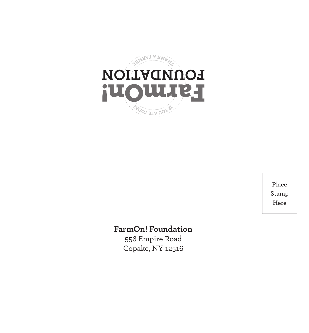

Place Stamp Here

## **FarmOn! Foundation**

556 Empire Road Copake, NY 12516